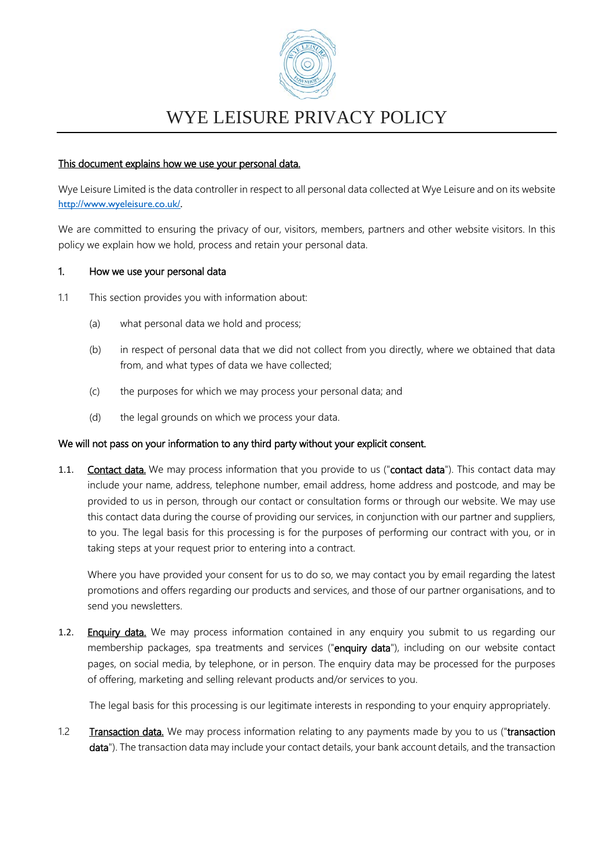

#### This document explains how we use your personal data.

Wye Leisure Limited is the data controller in respect to all personal data collected at Wye Leisure and on its website [http://www.wyeleisure.co.uk/.](http://www.wyeleisure.co.uk/)

We are committed to ensuring the privacy of our, visitors, members, partners and other website visitors. In this policy we explain how we hold, process and retain your personal data.

#### 1. How we use your personal data

- 1.1 This section provides you with information about:
	- (a) what personal data we hold and process;
	- (b) in respect of personal data that we did not collect from you directly, where we obtained that data from, and what types of data we have collected;
	- (c) the purposes for which we may process your personal data; and
	- (d) the legal grounds on which we process your data.

#### We will not pass on your information to any third party without your explicit consent.

1.1. Contact data. We may process information that you provide to us ("contact data"). This contact data may include your name, address, telephone number, email address, home address and postcode, and may be provided to us in person, through our contact or consultation forms or through our website. We may use this contact data during the course of providing our services, in conjunction with our partner and suppliers, to you. The legal basis for this processing is for the purposes of performing our contract with you, or in taking steps at your request prior to entering into a contract.

Where you have provided your consent for us to do so, we may contact you by email regarding the latest promotions and offers regarding our products and services, and those of our partner organisations, and to send you newsletters.

1.2. Enquiry data. We may process information contained in any enquiry you submit to us regarding our membership packages, spa treatments and services ("enquiry data"), including on our website contact pages, on social media, by telephone, or in person. The enquiry data may be processed for the purposes of offering, marketing and selling relevant products and/or services to you.

The legal basis for this processing is our legitimate interests in responding to your enquiry appropriately.

1.2 Transaction data. We may process information relating to any payments made by you to us ("transaction data"). The transaction data may include your contact details, your bank account details, and the transaction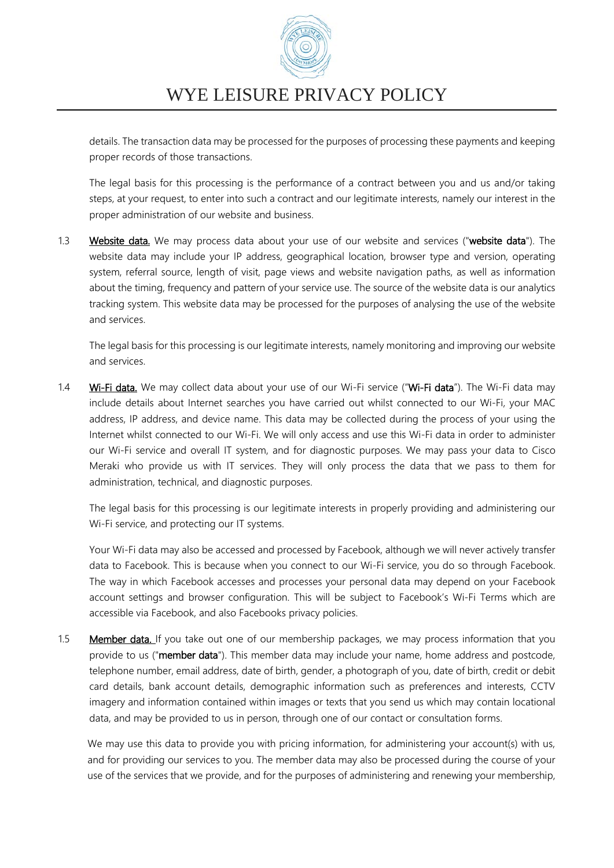

details. The transaction data may be processed for the purposes of processing these payments and keeping proper records of those transactions.

The legal basis for this processing is the performance of a contract between you and us and/or taking steps, at your request, to enter into such a contract and our legitimate interests, namely our interest in the proper administration of our website and business.

1.3 Website data. We may process data about your use of our website and services ("website data"). The website data may include your IP address, geographical location, browser type and version, operating system, referral source, length of visit, page views and website navigation paths, as well as information about the timing, frequency and pattern of your service use. The source of the website data is our analytics tracking system. This website data may be processed for the purposes of analysing the use of the website and services.

The legal basis for this processing is our legitimate interests, namely monitoring and improving our website and services.

1.4 Wi-Fi data. We may collect data about your use of our Wi-Fi service ("Wi-Fi data"). The Wi-Fi data may include details about Internet searches you have carried out whilst connected to our Wi-Fi, your MAC address, IP address, and device name. This data may be collected during the process of your using the Internet whilst connected to our Wi-Fi. We will only access and use this Wi-Fi data in order to administer our Wi-Fi service and overall IT system, and for diagnostic purposes. We may pass your data to Cisco Meraki who provide us with IT services. They will only process the data that we pass to them for administration, technical, and diagnostic purposes.

The legal basis for this processing is our legitimate interests in properly providing and administering our Wi-Fi service, and protecting our IT systems.

Your Wi-Fi data may also be accessed and processed by Facebook, although we will never actively transfer data to Facebook. This is because when you connect to our Wi-Fi service, you do so through Facebook. The way in which Facebook accesses and processes your personal data may depend on your Facebook account settings and browser configuration. This will be subject to Facebook's Wi-Fi Terms which are accessible via Facebook, and also Facebooks privacy policies.

1.5 Member data. If you take out one of our membership packages, we may process information that you provide to us ("member data"). This member data may include your name, home address and postcode, telephone number, email address, date of birth, gender, a photograph of you, date of birth, credit or debit card details, bank account details, demographic information such as preferences and interests, CCTV imagery and information contained within images or texts that you send us which may contain locational data, and may be provided to us in person, through one of our contact or consultation forms.

We may use this data to provide you with pricing information, for administering your account(s) with us, and for providing our services to you. The member data may also be processed during the course of your use of the services that we provide, and for the purposes of administering and renewing your membership,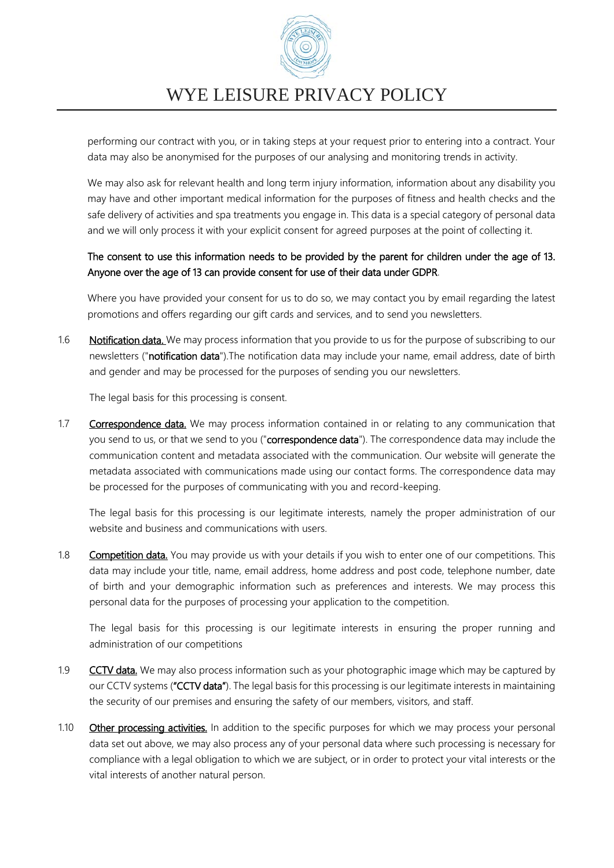

performing our contract with you, or in taking steps at your request prior to entering into a contract. Your data may also be anonymised for the purposes of our analysing and monitoring trends in activity.

We may also ask for relevant health and long term injury information, information about any disability you may have and other important medical information for the purposes of fitness and health checks and the safe delivery of activities and spa treatments you engage in. This data is a special category of personal data and we will only process it with your explicit consent for agreed purposes at the point of collecting it.

### The consent to use this information needs to be provided by the parent for children under the age of 13. Anyone over the age of 13 can provide consent for use of their data under GDPR.

Where you have provided your consent for us to do so, we may contact you by email regarding the latest promotions and offers regarding our gift cards and services, and to send you newsletters.

1.6 Notification data. We may process information that you provide to us for the purpose of subscribing to our newsletters ("notification data").The notification data may include your name, email address, date of birth and gender and may be processed for the purposes of sending you our newsletters.

The legal basis for this processing is consent.

1.7 Correspondence data. We may process information contained in or relating to any communication that you send to us, or that we send to you ("correspondence data"). The correspondence data may include the communication content and metadata associated with the communication. Our website will generate the metadata associated with communications made using our contact forms. The correspondence data may be processed for the purposes of communicating with you and record-keeping.

The legal basis for this processing is our legitimate interests, namely the proper administration of our website and business and communications with users.

1.8 Competition data. You may provide us with your details if you wish to enter one of our competitions. This data may include your title, name, email address, home address and post code, telephone number, date of birth and your demographic information such as preferences and interests. We may process this personal data for the purposes of processing your application to the competition.

The legal basis for this processing is our legitimate interests in ensuring the proper running and administration of our competitions

- 1.9 CCTV data. We may also process information such as your photographic image which may be captured by our CCTV systems ("CCTV data"). The legal basis for this processing is our legitimate interests in maintaining the security of our premises and ensuring the safety of our members, visitors, and staff.
- 1.10 Other processing activities. In addition to the specific purposes for which we may process your personal data set out above, we may also process any of your personal data where such processing is necessary for compliance with a legal obligation to which we are subject, or in order to protect your vital interests or the vital interests of another natural person.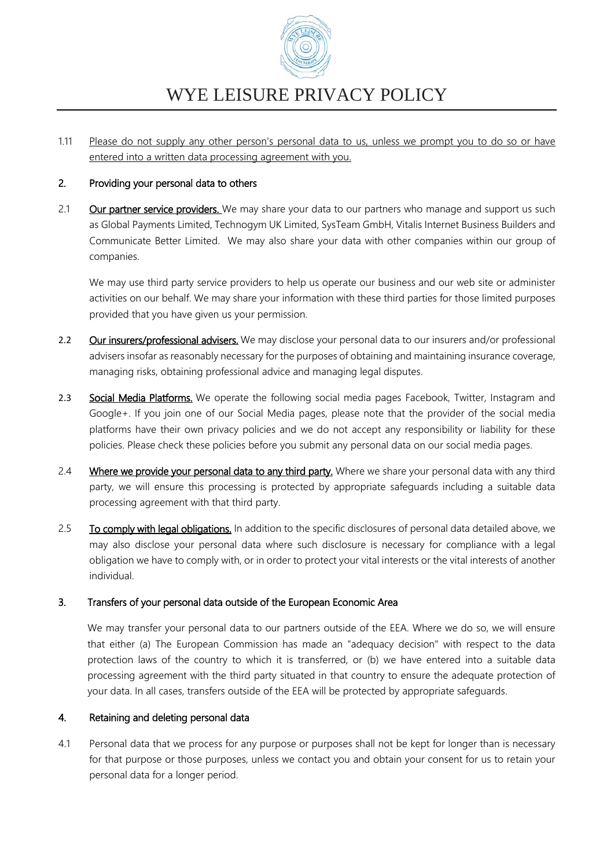

1.11 Please do not supply any other person's personal data to us, unless we prompt you to do so or have entered into a written data processing agreement with you.

#### 2. Providing your personal data to others

2.1 Our partner service providers. We may share your data to our partners who manage and support us such as Global Payments Limited, Technogym UK Limited, SysTeam GmbH, Vitalis Internet Business Builders and Communicate Better Limited. We may also share your data with other companies within our group of companies.

We may use third party service providers to help us operate our business and our web site or administer activities on our behalf. We may share your information with these third parties for those limited purposes provided that you have given us your permission.

- 2.2 Our insurers/professional advisers. We may disclose your personal data to our insurers and/or professional advisers insofar as reasonably necessary for the purposes of obtaining and maintaining insurance coverage, managing risks, obtaining professional advice and managing legal disputes.
- 2.3 Social Media Platforms. We operate the following social media pages Facebook, Twitter, Instagram and Google+. If you join one of our Social Media pages, please note that the provider of the social media platforms have their own privacy policies and we do not accept any responsibility or liability for these policies. Please check these policies before you submit any personal data on our social media pages.
- 2.4 Where we provide your personal data to any third party. Where we share your personal data with any third party, we will ensure this processing is protected by appropriate safeguards including a suitable data processing agreement with that third party.
- 2.5 To comply with legal obligations. In addition to the specific disclosures of personal data detailed above, we may also disclose your personal data where such disclosure is necessary for compliance with a legal obligation we have to comply with, or in order to protect your vital interests or the vital interests of another individual.

#### 3. Transfers of your personal data outside of the European Economic Area

We may transfer your personal data to our partners outside of the EEA. Where we do so, we will ensure that either (a) The European Commission has made an "adequacy decision" with respect to the data protection laws of the country to which it is transferred, or (b) we have entered into a suitable data processing agreement with the third party situated in that country to ensure the adequate protection of your data. In all cases, transfers outside of the EEA will be protected by appropriate safeguards.

#### 4. Retaining and deleting personal data

4.1 Personal data that we process for any purpose or purposes shall not be kept for longer than is necessary for that purpose or those purposes, unless we contact you and obtain your consent for us to retain your personal data for a longer period.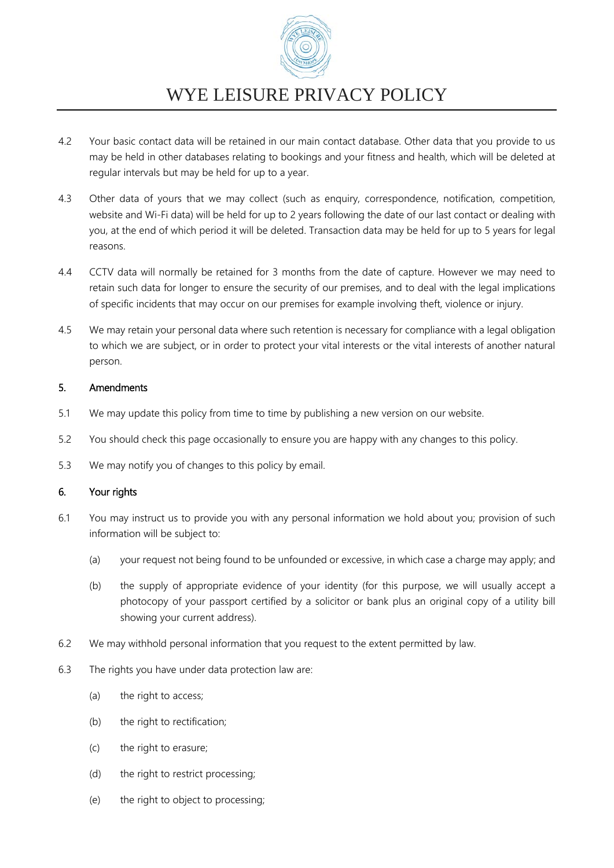

- 4.2 Your basic contact data will be retained in our main contact database. Other data that you provide to us may be held in other databases relating to bookings and your fitness and health, which will be deleted at regular intervals but may be held for up to a year.
- 4.3 Other data of yours that we may collect (such as enquiry, correspondence, notification, competition, website and Wi-Fi data) will be held for up to 2 years following the date of our last contact or dealing with you, at the end of which period it will be deleted. Transaction data may be held for up to 5 years for legal reasons.
- 4.4 CCTV data will normally be retained for 3 months from the date of capture. However we may need to retain such data for longer to ensure the security of our premises, and to deal with the legal implications of specific incidents that may occur on our premises for example involving theft, violence or injury.
- 4.5 We may retain your personal data where such retention is necessary for compliance with a legal obligation to which we are subject, or in order to protect your vital interests or the vital interests of another natural person.

#### 5. Amendments

- 5.1 We may update this policy from time to time by publishing a new version on our website.
- 5.2 You should check this page occasionally to ensure you are happy with any changes to this policy.
- 5.3 We may notify you of changes to this policy by email.

### 6. Your rights

- 6.1 You may instruct us to provide you with any personal information we hold about you; provision of such information will be subject to:
	- (a) your request not being found to be unfounded or excessive, in which case a charge may apply; and
	- (b) the supply of appropriate evidence of your identity (for this purpose, we will usually accept a photocopy of your passport certified by a solicitor or bank plus an original copy of a utility bill showing your current address).
- 6.2 We may withhold personal information that you request to the extent permitted by law.
- 6.3 The rights you have under data protection law are:
	- (a) the right to access;
	- (b) the right to rectification;
	- (c) the right to erasure;
	- (d) the right to restrict processing;
	- (e) the right to object to processing;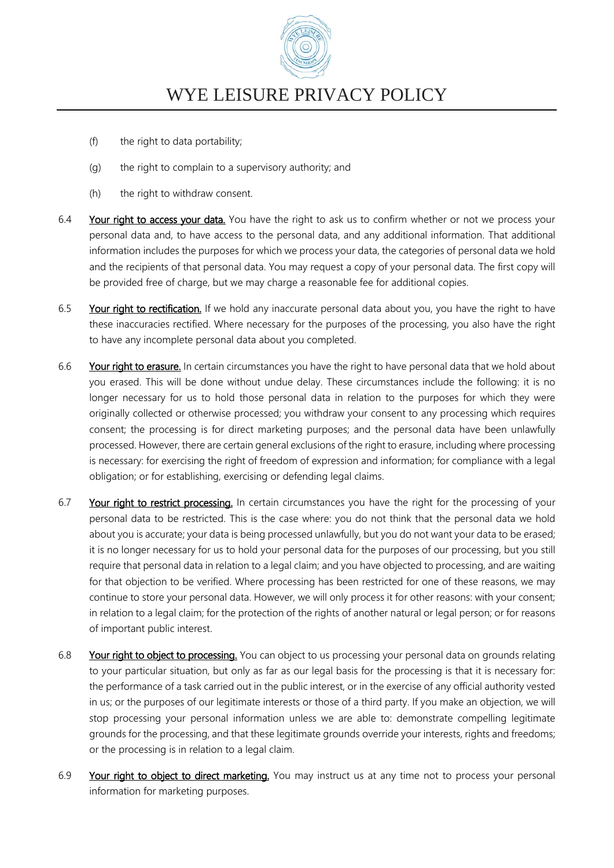

- (f) the right to data portability;
- (g) the right to complain to a supervisory authority; and
- (h) the right to withdraw consent.
- 6.4 Your right to access your data. You have the right to ask us to confirm whether or not we process your personal data and, to have access to the personal data, and any additional information. That additional information includes the purposes for which we process your data, the categories of personal data we hold and the recipients of that personal data. You may request a copy of your personal data. The first copy will be provided free of charge, but we may charge a reasonable fee for additional copies.
- 6.5 Your right to rectification. If we hold any inaccurate personal data about you, you have the right to have these inaccuracies rectified. Where necessary for the purposes of the processing, you also have the right to have any incomplete personal data about you completed.
- 6.6 Your right to erasure. In certain circumstances you have the right to have personal data that we hold about you erased. This will be done without undue delay. These circumstances include the following: it is no longer necessary for us to hold those personal data in relation to the purposes for which they were originally collected or otherwise processed; you withdraw your consent to any processing which requires consent; the processing is for direct marketing purposes; and the personal data have been unlawfully processed. However, there are certain general exclusions of the right to erasure, including where processing is necessary: for exercising the right of freedom of expression and information; for compliance with a legal obligation; or for establishing, exercising or defending legal claims.
- 6.7 Your right to restrict processing. In certain circumstances you have the right for the processing of your personal data to be restricted. This is the case where: you do not think that the personal data we hold about you is accurate; your data is being processed unlawfully, but you do not want your data to be erased; it is no longer necessary for us to hold your personal data for the purposes of our processing, but you still require that personal data in relation to a legal claim; and you have objected to processing, and are waiting for that objection to be verified. Where processing has been restricted for one of these reasons, we may continue to store your personal data. However, we will only process it for other reasons: with your consent; in relation to a legal claim; for the protection of the rights of another natural or legal person; or for reasons of important public interest.
- 6.8 Your right to object to processing. You can object to us processing your personal data on grounds relating to your particular situation, but only as far as our legal basis for the processing is that it is necessary for: the performance of a task carried out in the public interest, or in the exercise of any official authority vested in us; or the purposes of our legitimate interests or those of a third party. If you make an objection, we will stop processing your personal information unless we are able to: demonstrate compelling legitimate grounds for the processing, and that these legitimate grounds override your interests, rights and freedoms; or the processing is in relation to a legal claim.
- 6.9 Your right to object to direct marketing. You may instruct us at any time not to process your personal information for marketing purposes.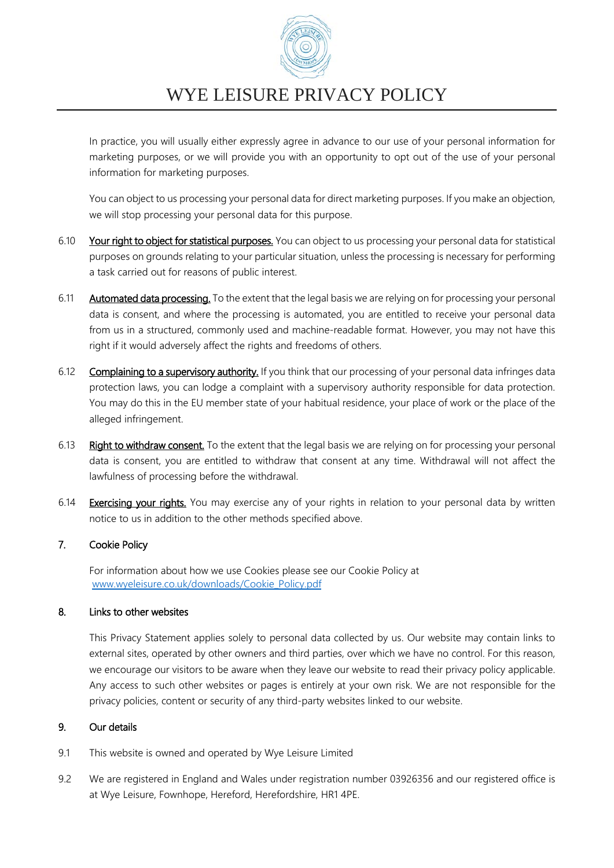

In practice, you will usually either expressly agree in advance to our use of your personal information for marketing purposes, or we will provide you with an opportunity to opt out of the use of your personal information for marketing purposes.

You can object to us processing your personal data for direct marketing purposes. If you make an objection, we will stop processing your personal data for this purpose.

- 6.10 Your right to object for statistical purposes. You can object to us processing your personal data for statistical purposes on grounds relating to your particular situation, unless the processing is necessary for performing a task carried out for reasons of public interest.
- 6.11 **Automated data processing.** To the extent that the legal basis we are relying on for processing your personal data is consent, and where the processing is automated, you are entitled to receive your personal data from us in a structured, commonly used and machine-readable format. However, you may not have this right if it would adversely affect the rights and freedoms of others.
- 6.12 Complaining to a supervisory authority. If you think that our processing of your personal data infringes data protection laws, you can lodge a complaint with a supervisory authority responsible for data protection. You may do this in the EU member state of your habitual residence, your place of work or the place of the alleged infringement.
- 6.13 Right to withdraw consent. To the extent that the legal basis we are relying on for processing your personal data is consent, you are entitled to withdraw that consent at any time. Withdrawal will not affect the lawfulness of processing before the withdrawal.
- 6.14 Exercising your rights. You may exercise any of your rights in relation to your personal data by written notice to us in addition to the other methods specified above.

#### 7. Cookie Policy

For information about how we use Cookies please see our Cookie Policy at [www.wyeleisure.co.uk/downloads/Cookie\\_Policy.pdf](http://www.wyeleisure.co.uk/downloads/Cookie_Policy.pdf)

#### 8. Links to other websites

This Privacy Statement applies solely to personal data collected by us. Our website may contain links to external sites, operated by other owners and third parties, over which we have no control. For this reason, we encourage our visitors to be aware when they leave our website to read their privacy policy applicable. Any access to such other websites or pages is entirely at your own risk. We are not responsible for the privacy policies, content or security of any third-party websites linked to our website.

#### 9. Our details

- 9.1 This website is owned and operated by Wye Leisure Limited
- 9.2 We are registered in England and Wales under registration number 03926356 and our registered office is at Wye Leisure, Fownhope, Hereford, Herefordshire, HR1 4PE.